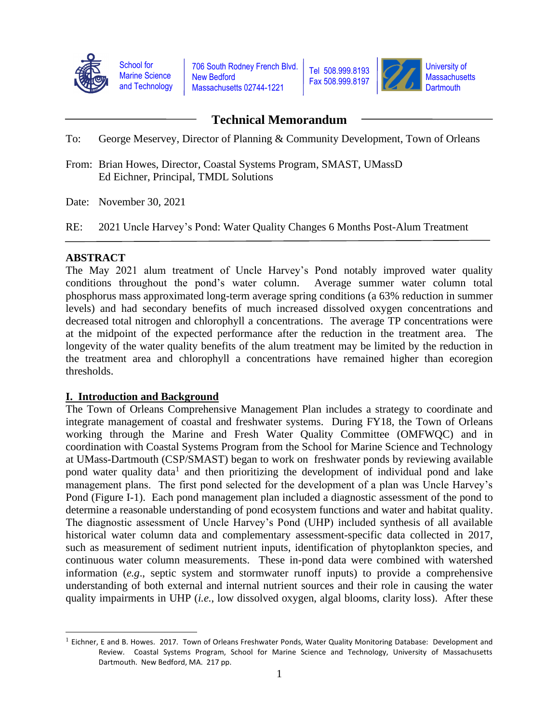

School for Marine Science and Technology 706 South Rodney French Blvd. New Bedford Massachusetts 02744-1221



# **Technical Memorandum**

To: George Meservey, Director of Planning & Community Development, Town of Orleans

From: Brian Howes, Director, Coastal Systems Program, SMAST, UMassD Ed Eichner, Principal, TMDL Solutions

Date: November 30, 2021

RE: 2021 Uncle Harvey's Pond: Water Quality Changes 6 Months Post-Alum Treatment

#### **ABSTRACT**

The May 2021 alum treatment of Uncle Harvey's Pond notably improved water quality conditions throughout the pond's water column. Average summer water column total phosphorus mass approximated long-term average spring conditions (a 63% reduction in summer levels) and had secondary benefits of much increased dissolved oxygen concentrations and decreased total nitrogen and chlorophyll a concentrations. The average TP concentrations were at the midpoint of the expected performance after the reduction in the treatment area. The longevity of the water quality benefits of the alum treatment may be limited by the reduction in the treatment area and chlorophyll a concentrations have remained higher than ecoregion thresholds.

## **I. Introduction and Background**

The Town of Orleans Comprehensive Management Plan includes a strategy to coordinate and integrate management of coastal and freshwater systems. During FY18, the Town of Orleans working through the Marine and Fresh Water Quality Committee (OMFWQC) and in coordination with Coastal Systems Program from the School for Marine Science and Technology at UMass-Dartmouth (CSP/SMAST) began to work on freshwater ponds by reviewing available pond water quality data<sup>1</sup> and then prioritizing the development of individual pond and lake management plans. The first pond selected for the development of a plan was Uncle Harvey's Pond (Figure I-1). Each pond management plan included a diagnostic assessment of the pond to determine a reasonable understanding of pond ecosystem functions and water and habitat quality. The diagnostic assessment of Uncle Harvey's Pond (UHP) included synthesis of all available historical water column data and complementary assessment-specific data collected in 2017, such as measurement of sediment nutrient inputs, identification of phytoplankton species, and continuous water column measurements. These in-pond data were combined with watershed information (*e.g*., septic system and stormwater runoff inputs) to provide a comprehensive understanding of both external and internal nutrient sources and their role in causing the water quality impairments in UHP (*i.e.*, low dissolved oxygen, algal blooms, clarity loss). After these

 $^1$  Eichner, E and B. Howes. 2017. Town of Orleans Freshwater Ponds, Water Quality Monitoring Database: Development and Review. Coastal Systems Program, School for Marine Science and Technology, University of Massachusetts Dartmouth. New Bedford, MA. 217 pp.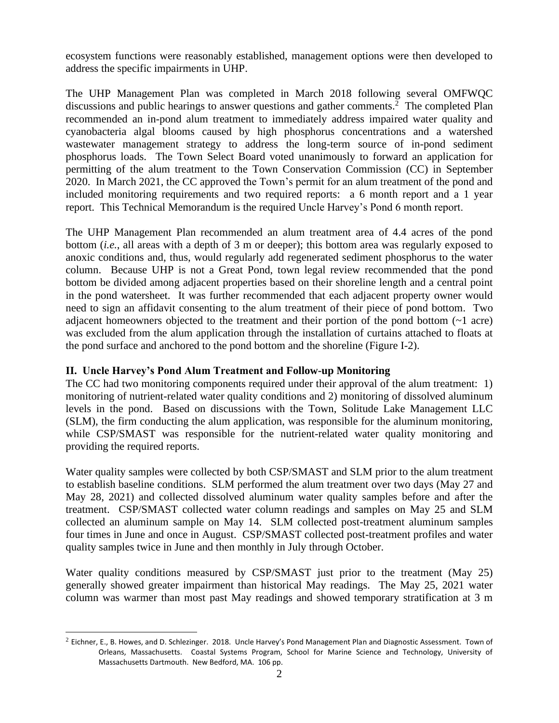ecosystem functions were reasonably established, management options were then developed to address the specific impairments in UHP.

The UHP Management Plan was completed in March 2018 following several OMFWQC discussions and public hearings to answer questions and gather comments.<sup>2</sup> The completed Plan recommended an in-pond alum treatment to immediately address impaired water quality and cyanobacteria algal blooms caused by high phosphorus concentrations and a watershed wastewater management strategy to address the long-term source of in-pond sediment phosphorus loads. The Town Select Board voted unanimously to forward an application for permitting of the alum treatment to the Town Conservation Commission (CC) in September 2020. In March 2021, the CC approved the Town's permit for an alum treatment of the pond and included monitoring requirements and two required reports: a 6 month report and a 1 year report. This Technical Memorandum is the required Uncle Harvey's Pond 6 month report.

The UHP Management Plan recommended an alum treatment area of 4.4 acres of the pond bottom (*i.e.*, all areas with a depth of 3 m or deeper); this bottom area was regularly exposed to anoxic conditions and, thus, would regularly add regenerated sediment phosphorus to the water column. Because UHP is not a Great Pond, town legal review recommended that the pond bottom be divided among adjacent properties based on their shoreline length and a central point in the pond watersheet. It was further recommended that each adjacent property owner would need to sign an affidavit consenting to the alum treatment of their piece of pond bottom. Two adjacent homeowners objected to the treatment and their portion of the pond bottom (~1 acre) was excluded from the alum application through the installation of curtains attached to floats at the pond surface and anchored to the pond bottom and the shoreline (Figure I-2).

## **II. Uncle Harvey's Pond Alum Treatment and Follow-up Monitoring**

The CC had two monitoring components required under their approval of the alum treatment: 1) monitoring of nutrient-related water quality conditions and 2) monitoring of dissolved aluminum levels in the pond. Based on discussions with the Town, Solitude Lake Management LLC (SLM), the firm conducting the alum application, was responsible for the aluminum monitoring, while CSP/SMAST was responsible for the nutrient-related water quality monitoring and providing the required reports.

Water quality samples were collected by both CSP/SMAST and SLM prior to the alum treatment to establish baseline conditions. SLM performed the alum treatment over two days (May 27 and May 28, 2021) and collected dissolved aluminum water quality samples before and after the treatment. CSP/SMAST collected water column readings and samples on May 25 and SLM collected an aluminum sample on May 14. SLM collected post-treatment aluminum samples four times in June and once in August. CSP/SMAST collected post-treatment profiles and water quality samples twice in June and then monthly in July through October.

Water quality conditions measured by CSP/SMAST just prior to the treatment (May 25) generally showed greater impairment than historical May readings. The May 25, 2021 water column was warmer than most past May readings and showed temporary stratification at 3 m

 $^2$  Eichner, E., B. Howes, and D. Schlezinger. 2018. Uncle Harvey's Pond Management Plan and Diagnostic Assessment. Town of Orleans, Massachusetts. Coastal Systems Program, School for Marine Science and Technology, University of Massachusetts Dartmouth. New Bedford, MA. 106 pp.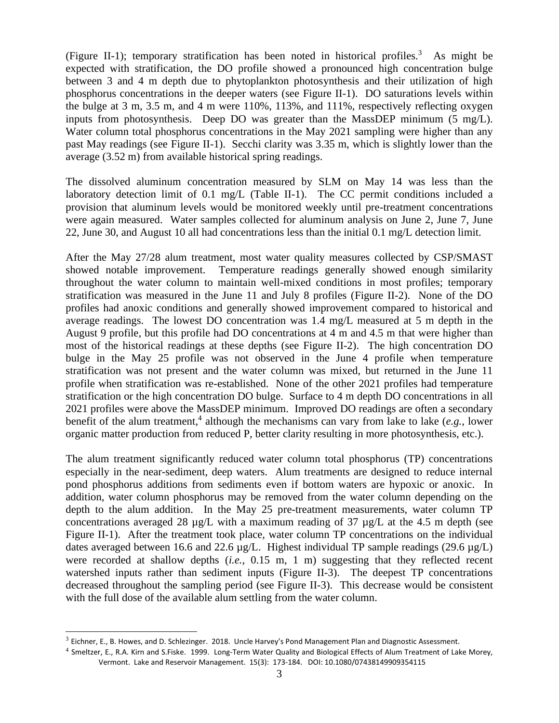(Figure II-1); temporary stratification has been noted in historical profiles.<sup>3</sup> As might be expected with stratification, the DO profile showed a pronounced high concentration bulge between 3 and 4 m depth due to phytoplankton photosynthesis and their utilization of high phosphorus concentrations in the deeper waters (see Figure II-1). DO saturations levels within the bulge at 3 m, 3.5 m, and 4 m were 110%, 113%, and 111%, respectively reflecting oxygen inputs from photosynthesis. Deep DO was greater than the MassDEP minimum  $(5 \text{ mg/L})$ . Water column total phosphorus concentrations in the May 2021 sampling were higher than any past May readings (see Figure II-1). Secchi clarity was 3.35 m, which is slightly lower than the average (3.52 m) from available historical spring readings.

The dissolved aluminum concentration measured by SLM on May 14 was less than the laboratory detection limit of 0.1 mg/L (Table II-1). The CC permit conditions included a provision that aluminum levels would be monitored weekly until pre-treatment concentrations were again measured. Water samples collected for aluminum analysis on June 2, June 7, June 22, June 30, and August 10 all had concentrations less than the initial 0.1 mg/L detection limit.

After the May 27/28 alum treatment, most water quality measures collected by CSP/SMAST showed notable improvement. Temperature readings generally showed enough similarity throughout the water column to maintain well-mixed conditions in most profiles; temporary stratification was measured in the June 11 and July 8 profiles (Figure II-2). None of the DO profiles had anoxic conditions and generally showed improvement compared to historical and average readings. The lowest DO concentration was 1.4 mg/L measured at 5 m depth in the August 9 profile, but this profile had DO concentrations at 4 m and 4.5 m that were higher than most of the historical readings at these depths (see Figure II-2). The high concentration DO bulge in the May 25 profile was not observed in the June 4 profile when temperature stratification was not present and the water column was mixed, but returned in the June 11 profile when stratification was re-established. None of the other 2021 profiles had temperature stratification or the high concentration DO bulge. Surface to 4 m depth DO concentrations in all 2021 profiles were above the MassDEP minimum. Improved DO readings are often a secondary benefit of the alum treatment, 4 although the mechanisms can vary from lake to lake (*e.g.*, lower organic matter production from reduced P, better clarity resulting in more photosynthesis, etc.).

The alum treatment significantly reduced water column total phosphorus (TP) concentrations especially in the near-sediment, deep waters. Alum treatments are designed to reduce internal pond phosphorus additions from sediments even if bottom waters are hypoxic or anoxic. In addition, water column phosphorus may be removed from the water column depending on the depth to the alum addition. In the May 25 pre-treatment measurements, water column TP concentrations averaged 28  $\mu$ g/L with a maximum reading of 37  $\mu$ g/L at the 4.5 m depth (see Figure II-1). After the treatment took place, water column TP concentrations on the individual dates averaged between 16.6 and 22.6  $\mu$ g/L. Highest individual TP sample readings (29.6  $\mu$ g/L) were recorded at shallow depths (*i.e.*, 0.15 m, 1 m) suggesting that they reflected recent watershed inputs rather than sediment inputs (Figure II-3). The deepest TP concentrations decreased throughout the sampling period (see Figure II-3). This decrease would be consistent with the full dose of the available alum settling from the water column.

 $^3$  Eichner, E., B. Howes, and D. Schlezinger. 2018. Uncle Harvey's Pond Management Plan and Diagnostic Assessment.

<sup>&</sup>lt;sup>4</sup> Smeltzer, E., R.A. Kirn and S.Fiske. 1999. Long-Term Water Quality and Biological Effects of Alum Treatment of Lake Morey, Vermont. Lake and Reservoir Management. 15(3): 173-184. DOI: 10.1080/07438149909354115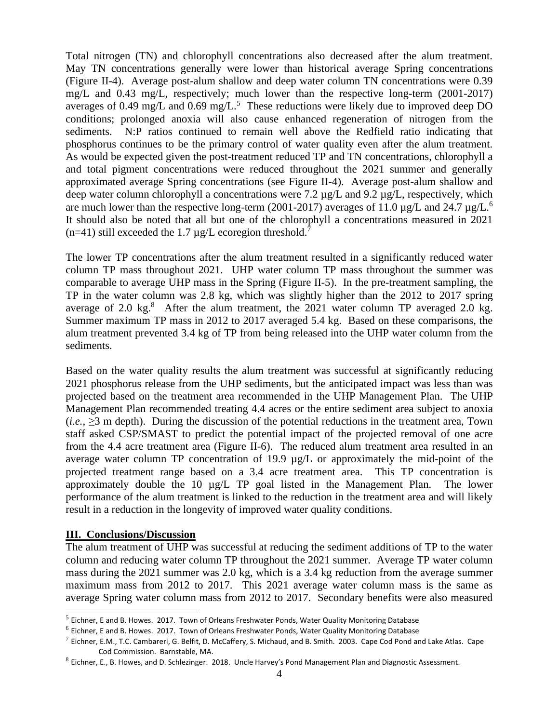Total nitrogen (TN) and chlorophyll concentrations also decreased after the alum treatment. May TN concentrations generally were lower than historical average Spring concentrations (Figure II-4). Average post-alum shallow and deep water column TN concentrations were 0.39 mg/L and 0.43 mg/L, respectively; much lower than the respective long-term (2001-2017) averages of 0.49 mg/L and 0.69 mg/L.<sup>5</sup> These reductions were likely due to improved deep DO conditions; prolonged anoxia will also cause enhanced regeneration of nitrogen from the sediments. N:P ratios continued to remain well above the Redfield ratio indicating that phosphorus continues to be the primary control of water quality even after the alum treatment. As would be expected given the post-treatment reduced TP and TN concentrations, chlorophyll a and total pigment concentrations were reduced throughout the 2021 summer and generally approximated average Spring concentrations (see Figure II-4). Average post-alum shallow and deep water column chlorophyll a concentrations were 7.2  $\mu$ g/L and 9.2  $\mu$ g/L, respectively, which are much lower than the respective long-term (2001-2017) averages of 11.0  $\mu$ g/L and 24.7  $\mu$ g/L.<sup>6</sup> It should also be noted that all but one of the chlorophyll a concentrations measured in 2021 (n=41) still exceeded the 1.7  $\mu$ g/L ecoregion threshold.<sup>7</sup>

The lower TP concentrations after the alum treatment resulted in a significantly reduced water column TP mass throughout 2021. UHP water column TP mass throughout the summer was comparable to average UHP mass in the Spring (Figure II-5). In the pre-treatment sampling, the TP in the water column was 2.8 kg, which was slightly higher than the 2012 to 2017 spring average of 2.0 kg. $8$  After the alum treatment, the 2021 water column TP averaged 2.0 kg. Summer maximum TP mass in 2012 to 2017 averaged 5.4 kg. Based on these comparisons, the alum treatment prevented 3.4 kg of TP from being released into the UHP water column from the sediments.

Based on the water quality results the alum treatment was successful at significantly reducing 2021 phosphorus release from the UHP sediments, but the anticipated impact was less than was projected based on the treatment area recommended in the UHP Management Plan. The UHP Management Plan recommended treating 4.4 acres or the entire sediment area subject to anoxia  $(i.e., \geq 3$  m depth). During the discussion of the potential reductions in the treatment area, Town staff asked CSP/SMAST to predict the potential impact of the projected removal of one acre from the 4.4 acre treatment area (Figure II-6). The reduced alum treatment area resulted in an average water column TP concentration of 19.9 µg/L or approximately the mid-point of the projected treatment range based on a 3.4 acre treatment area. This TP concentration is approximately double the 10 µg/L TP goal listed in the Management Plan. The lower performance of the alum treatment is linked to the reduction in the treatment area and will likely result in a reduction in the longevity of improved water quality conditions.

#### **III. Conclusions/Discussion**

The alum treatment of UHP was successful at reducing the sediment additions of TP to the water column and reducing water column TP throughout the 2021 summer. Average TP water column mass during the 2021 summer was 2.0 kg, which is a 3.4 kg reduction from the average summer maximum mass from 2012 to 2017. This 2021 average water column mass is the same as average Spring water column mass from 2012 to 2017. Secondary benefits were also measured

<sup>&</sup>lt;sup>5</sup> Eichner, E and B. Howes. 2017. Town of Orleans Freshwater Ponds, Water Quality Monitoring Database

<sup>&</sup>lt;sup>6</sup> Eichner, E and B. Howes. 2017. Town of Orleans Freshwater Ponds, Water Quality Monitoring Database

 $^7$  Eichner, E.M., T.C. Cambareri, G. Belfit, D. McCaffery, S. Michaud, and B. Smith. 2003. Cape Cod Pond and Lake Atlas. Cape Cod Commission. Barnstable, MA.

 $^8$  Eichner, E., B. Howes, and D. Schlezinger. 2018. Uncle Harvey's Pond Management Plan and Diagnostic Assessment.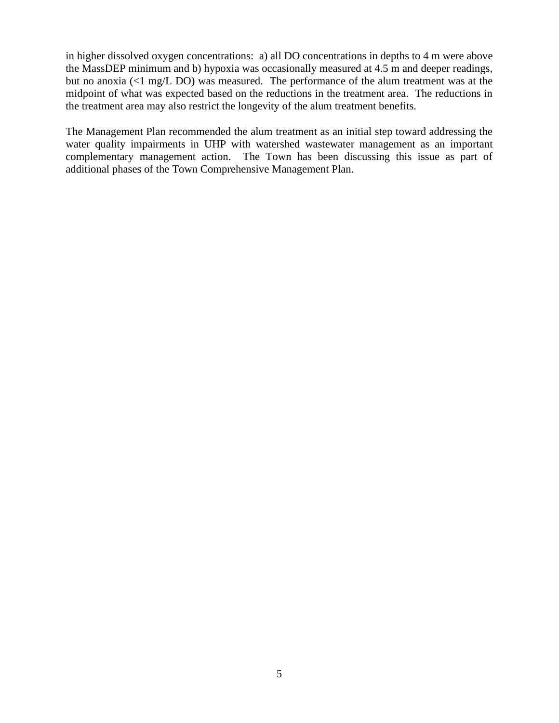in higher dissolved oxygen concentrations: a) all DO concentrations in depths to 4 m were above the MassDEP minimum and b) hypoxia was occasionally measured at 4.5 m and deeper readings, but no anoxia (<1 mg/L DO) was measured. The performance of the alum treatment was at the midpoint of what was expected based on the reductions in the treatment area. The reductions in the treatment area may also restrict the longevity of the alum treatment benefits.

The Management Plan recommended the alum treatment as an initial step toward addressing the water quality impairments in UHP with watershed wastewater management as an important complementary management action. The Town has been discussing this issue as part of additional phases of the Town Comprehensive Management Plan.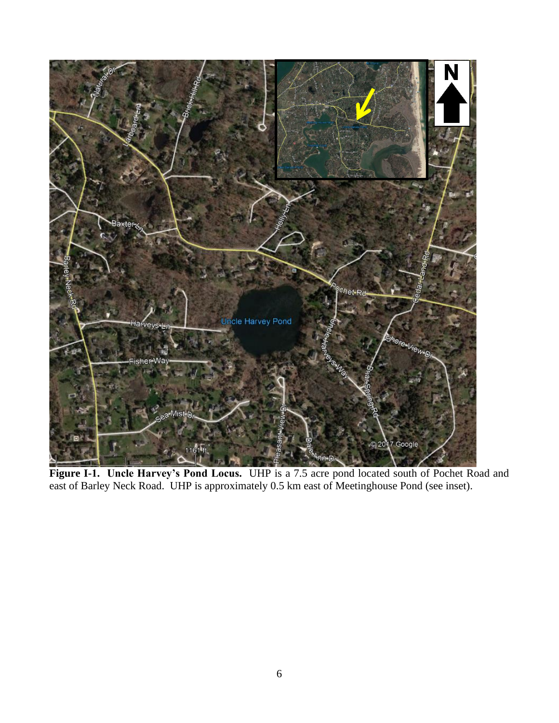

**Figure I-1. Uncle Harvey's Pond Locus.** UHP is a 7.5 acre pond located south of Pochet Road and east of Barley Neck Road. UHP is approximately 0.5 km east of Meetinghouse Pond (see inset).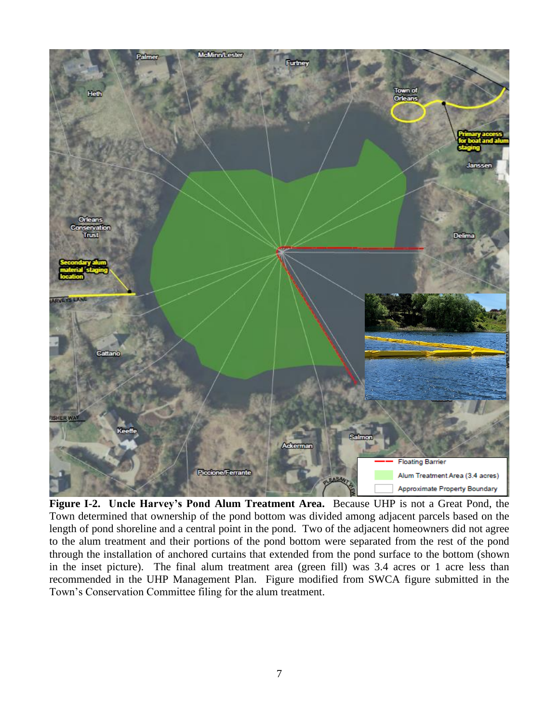

**Figure I-2. Uncle Harvey's Pond Alum Treatment Area.** Because UHP is not a Great Pond, the Town determined that ownership of the pond bottom was divided among adjacent parcels based on the length of pond shoreline and a central point in the pond. Two of the adjacent homeowners did not agree to the alum treatment and their portions of the pond bottom were separated from the rest of the pond through the installation of anchored curtains that extended from the pond surface to the bottom (shown in the inset picture). The final alum treatment area (green fill) was 3.4 acres or 1 acre less than recommended in the UHP Management Plan. Figure modified from SWCA figure submitted in the Town's Conservation Committee filing for the alum treatment.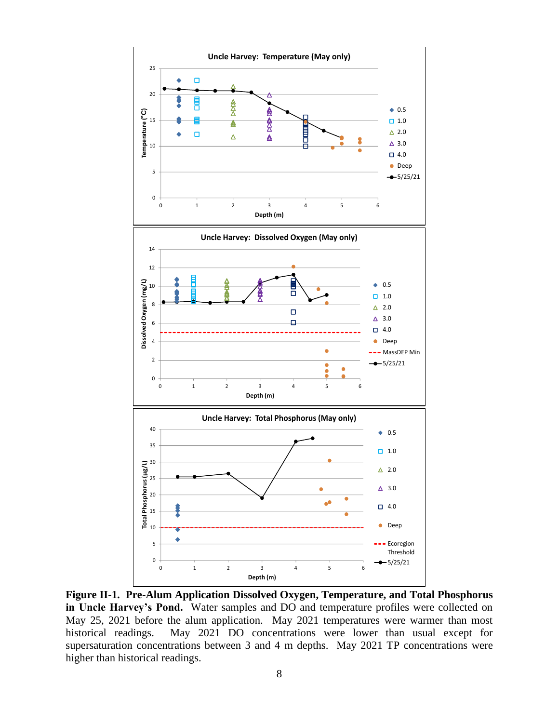

**Figure II-1. Pre-Alum Application Dissolved Oxygen, Temperature, and Total Phosphorus in Uncle Harvey's Pond.** Water samples and DO and temperature profiles were collected on May 25, 2021 before the alum application. May 2021 temperatures were warmer than most historical readings. May 2021 DO concentrations were lower than usual except for supersaturation concentrations between 3 and 4 m depths. May 2021 TP concentrations were higher than historical readings.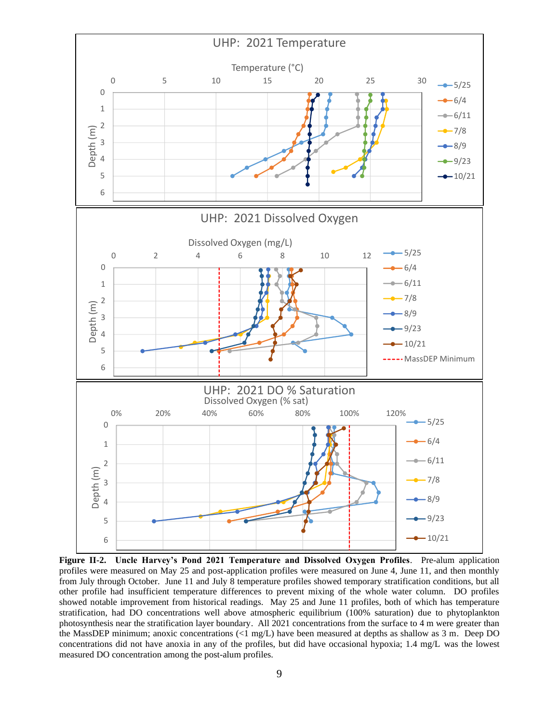

**Figure II-2. Uncle Harvey's Pond 2021 Temperature and Dissolved Oxygen Profiles**. Pre-alum application profiles were measured on May 25 and post-application profiles were measured on June 4, June 11, and then monthly from July through October. June 11 and July 8 temperature profiles showed temporary stratification conditions, but all other profile had insufficient temperature differences to prevent mixing of the whole water column. DO profiles showed notable improvement from historical readings. May 25 and June 11 profiles, both of which has temperature stratification, had DO concentrations well above atmospheric equilibrium (100% saturation) due to phytoplankton photosynthesis near the stratification layer boundary. All 2021 concentrations from the surface to 4 m were greater than the MassDEP minimum; anoxic concentrations (<1 mg/L) have been measured at depths as shallow as 3 m. Deep DO concentrations did not have anoxia in any of the profiles, but did have occasional hypoxia; 1.4 mg/L was the lowest measured DO concentration among the post-alum profiles.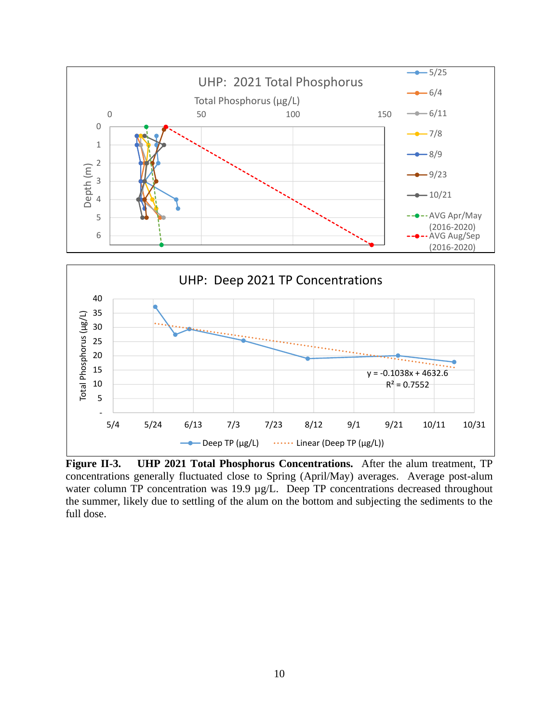

**Figure II-3. UHP 2021 Total Phosphorus Concentrations.** After the alum treatment, TP concentrations generally fluctuated close to Spring (April/May) averages. Average post-alum water column TP concentration was 19.9 µg/L. Deep TP concentrations decreased throughout the summer, likely due to settling of the alum on the bottom and subjecting the sediments to the full dose.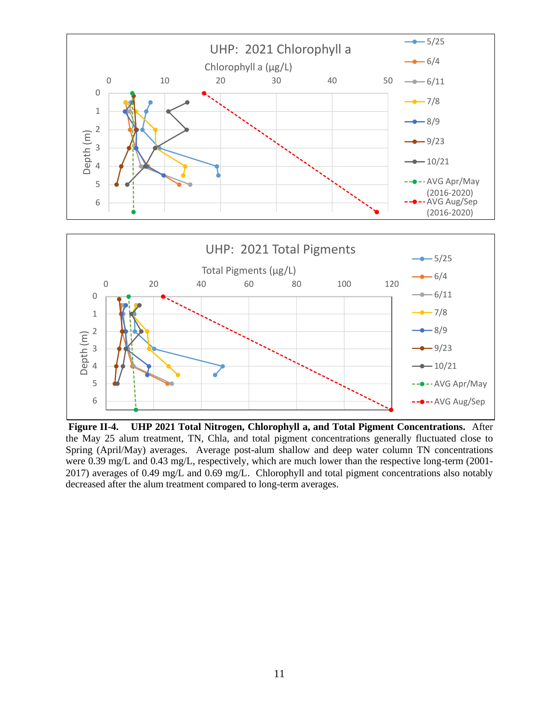

**Figure II-4. UHP 2021 Total Nitrogen, Chlorophyll a, and Total Pigment Concentrations.** After the May 25 alum treatment, TN, Chla, and total pigment concentrations generally fluctuated close to Spring (April/May) averages. Average post-alum shallow and deep water column TN concentrations were 0.39 mg/L and 0.43 mg/L, respectively, which are much lower than the respective long-term (2001- 2017) averages of 0.49 mg/L and 0.69 mg/L. Chlorophyll and total pigment concentrations also notably decreased after the alum treatment compared to long-term averages.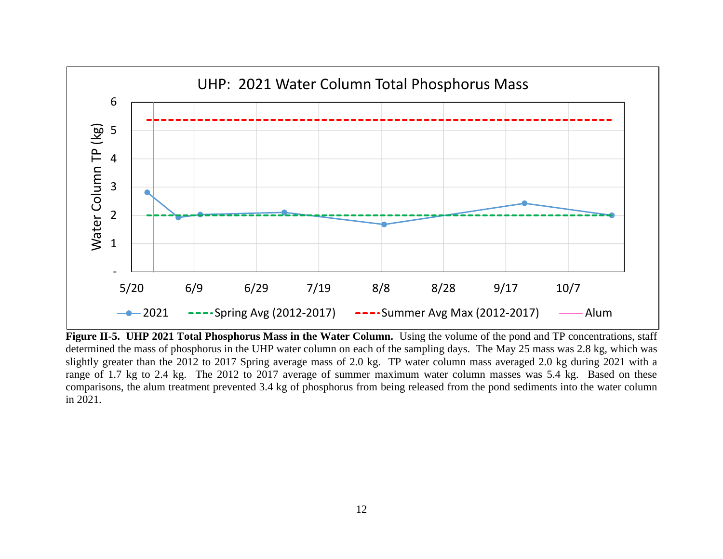

**Figure II-5. UHP 2021 Total Phosphorus Mass in the Water Column.** Using the volume of the pond and TP concentrations, staff determined the mass of phosphorus in the UHP water column on each of the sampling days. The May 25 mass was 2.8 kg, which was slightly greater than the 2012 to 2017 Spring average mass of 2.0 kg. TP water column mass averaged 2.0 kg during 2021 with a range of 1.7 kg to 2.4 kg. The 2012 to 2017 average of summer maximum water column masses was 5.4 kg. Based on these comparisons, the alum treatment prevented 3.4 kg of phosphorus from being released from the pond sediments into the water column in 2021.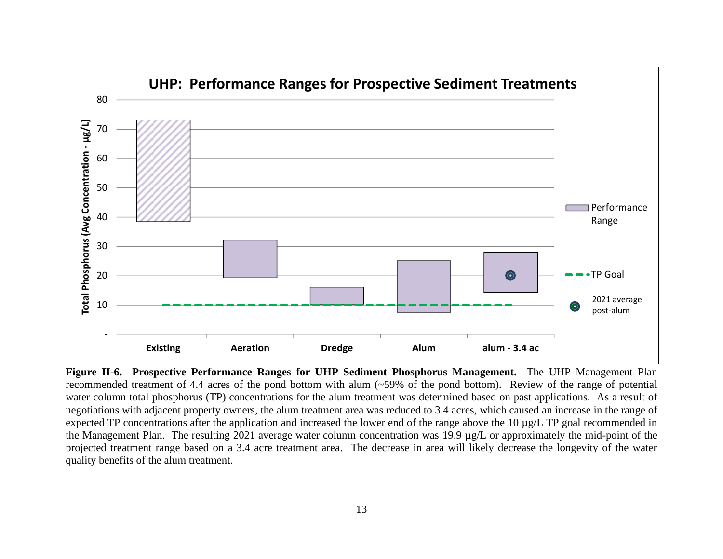

**Figure II-6. Prospective Performance Ranges for UHP Sediment Phosphorus Management.** The UHP Management Plan recommended treatment of 4.4 acres of the pond bottom with alum (~59% of the pond bottom). Review of the range of potential water column total phosphorus (TP) concentrations for the alum treatment was determined based on past applications. As a result of negotiations with adjacent property owners, the alum treatment area was reduced to 3.4 acres, which caused an increase in the range of expected TP concentrations after the application and increased the lower end of the range above the 10 µg/L TP goal recommended in the Management Plan. The resulting 2021 average water column concentration was 19.9 µg/L or approximately the mid-point of the projected treatment range based on a 3.4 acre treatment area. The decrease in area will likely decrease the longevity of the water quality benefits of the alum treatment.